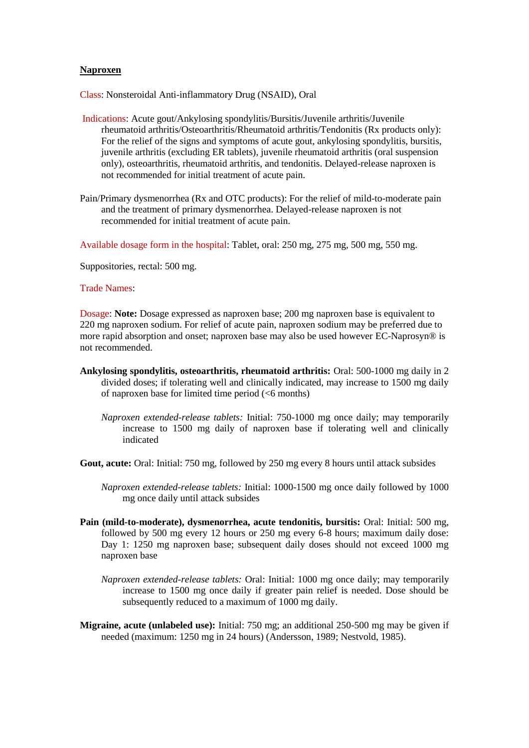## **Naproxen**

Class: Nonsteroidal Anti-inflammatory Drug (NSAID), Oral

- Indications: Acute gout/Ankylosing spondylitis/Bursitis/Juvenile arthritis/Juvenile rheumatoid arthritis/Osteoarthritis/Rheumatoid arthritis/Tendonitis (Rx products only): For the relief of the signs and symptoms of acute gout, ankylosing spondylitis, bursitis, juvenile arthritis (excluding ER tablets), juvenile rheumatoid arthritis (oral suspension only), osteoarthritis, rheumatoid arthritis, and tendonitis. Delayed-release naproxen is not recommended for initial treatment of acute pain.
- Pain/Primary dysmenorrhea (Rx and OTC products): For the relief of mild-to-moderate pain and the treatment of primary dysmenorrhea. Delayed-release naproxen is not recommended for initial treatment of acute pain.

Available dosage form in the hospital: Tablet, oral: 250 mg, 275 mg, 500 mg, 550 mg.

Suppositories, rectal: 500 mg.

## Trade Names:

Dosage: **Note:** Dosage expressed as naproxen base; 200 mg naproxen base is equivalent to 220 mg naproxen sodium. For relief of acute pain, naproxen sodium may be preferred due to more rapid absorption and onset; naproxen base may also be used however EC-Naprosyn® is not recommended.

- **Ankylosing spondylitis, osteoarthritis, rheumatoid arthritis:** Oral: 500-1000 mg daily in 2 divided doses; if tolerating well and clinically indicated, may increase to 1500 mg daily of naproxen base for limited time period  $(< 6$  months)
	- *Naproxen extended-release tablets:* Initial: 750-1000 mg once daily; may temporarily increase to 1500 mg daily of naproxen base if tolerating well and clinically indicated

**Gout, acute:** Oral: Initial: 750 mg, followed by 250 mg every 8 hours until attack subsides

- *Naproxen extended-release tablets:* Initial: 1000-1500 mg once daily followed by 1000 mg once daily until attack subsides
- **Pain (mild-to-moderate), dysmenorrhea, acute tendonitis, bursitis:** Oral: Initial: 500 mg, followed by 500 mg every 12 hours or 250 mg every 6-8 hours; maximum daily dose: Day 1: 1250 mg naproxen base; subsequent daily doses should not exceed 1000 mg naproxen base
	- *Naproxen extended-release tablets:* Oral: Initial: 1000 mg once daily; may temporarily increase to 1500 mg once daily if greater pain relief is needed. Dose should be subsequently reduced to a maximum of 1000 mg daily.
- **Migraine, acute (unlabeled use):** Initial: 750 mg; an additional 250-500 mg may be given if needed (maximum: 1250 mg in 24 hours) (Andersson, 1989; Nestvold, 1985).